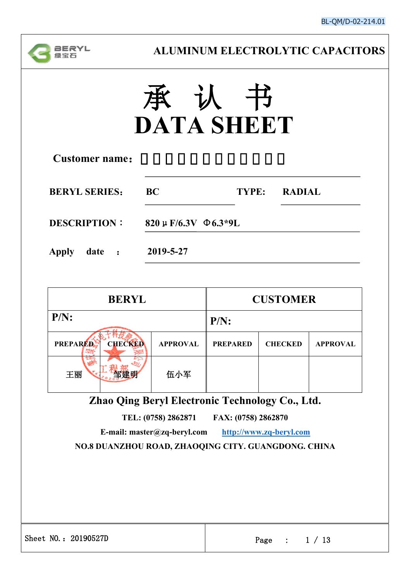

# 承 认 书 **DATA SHEET**

| <b>Customer name:</b>  |                                |       |               |
|------------------------|--------------------------------|-------|---------------|
| <b>BERYL SERIES:</b>   | <b>BC</b>                      | TYPE: | <b>RADIAL</b> |
| <b>DESCRIPTION:</b>    | $820 \mu$ F/6.3V $\Phi$ 6.3*9L |       |               |
| <b>Apply</b><br>date : | 2019-5-27                      |       |               |

| $P/N$ :<br><b>CHECKED</b><br><b>PREPARED</b><br><b>APPROVAL</b><br><b>PREPARED</b><br><b>CHECKED</b><br><b>APPROVAL</b><br>伍小军<br>王丽<br>Zhao Qing Beryl Electronic Technology Co., Ltd.<br>TEL: (0758) 2862871<br>FAX: (0758) 2862870<br>E-mail: master@zq-beryl.com<br>http://www.zq-beryl.com<br>NO.8 DUANZHOU ROAD, ZHAOQING CITY. GUANGDONG. CHINA |         | <b>BERYL</b>         | <b>CUSTOMER</b> |                 |  |  |  |  |
|--------------------------------------------------------------------------------------------------------------------------------------------------------------------------------------------------------------------------------------------------------------------------------------------------------------------------------------------------------|---------|----------------------|-----------------|-----------------|--|--|--|--|
|                                                                                                                                                                                                                                                                                                                                                        | $P/N$ : |                      |                 |                 |  |  |  |  |
|                                                                                                                                                                                                                                                                                                                                                        |         |                      |                 |                 |  |  |  |  |
|                                                                                                                                                                                                                                                                                                                                                        |         |                      |                 |                 |  |  |  |  |
|                                                                                                                                                                                                                                                                                                                                                        |         |                      |                 |                 |  |  |  |  |
|                                                                                                                                                                                                                                                                                                                                                        |         |                      |                 |                 |  |  |  |  |
|                                                                                                                                                                                                                                                                                                                                                        |         |                      |                 |                 |  |  |  |  |
|                                                                                                                                                                                                                                                                                                                                                        |         |                      |                 |                 |  |  |  |  |
|                                                                                                                                                                                                                                                                                                                                                        |         |                      |                 |                 |  |  |  |  |
|                                                                                                                                                                                                                                                                                                                                                        |         |                      |                 |                 |  |  |  |  |
|                                                                                                                                                                                                                                                                                                                                                        |         |                      |                 |                 |  |  |  |  |
|                                                                                                                                                                                                                                                                                                                                                        |         | Sheet NO.: 20190527D |                 | Page : $1 / 13$ |  |  |  |  |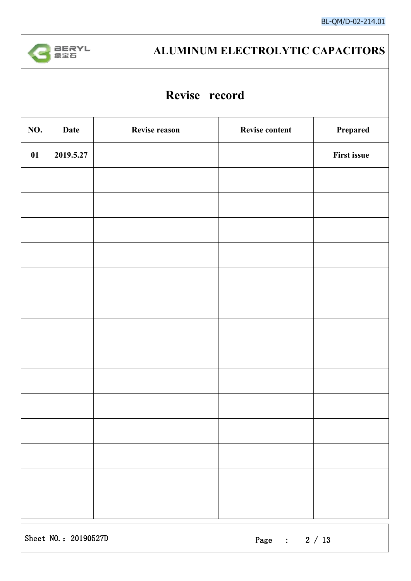

### **Revise record**

| NO. | <b>Date</b> | Revise reason | Revise content | Prepared           |
|-----|-------------|---------------|----------------|--------------------|
| 01  | 2019.5.27   |               |                | <b>First issue</b> |
|     |             |               |                |                    |
|     |             |               |                |                    |
|     |             |               |                |                    |
|     |             |               |                |                    |
|     |             |               |                |                    |
|     |             |               |                |                    |
|     |             |               |                |                    |
|     |             |               |                |                    |
|     |             |               |                |                    |
|     |             |               |                |                    |
|     |             |               |                |                    |
|     |             |               |                |                    |
|     |             |               |                |                    |
|     |             |               |                |                    |
|     |             |               |                |                    |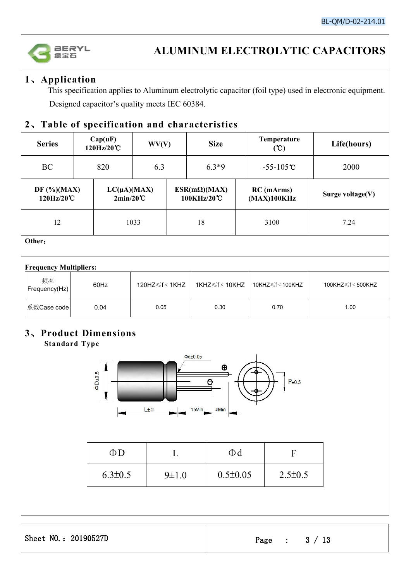

### **1**、**Application**

This specification applies to Aluminum electrolytic capacitor (foil type) used in electronic equipment. Designed capacitor's quality meets IEC 60384.

#### **2**、**Table of specification and characteristics**

| <b>Series</b>               |  | Cap(uF)<br>120Hz/20°C                  | WV(V)   |  | <b>Size</b>                       | Temperature<br>(C)          | Life(hours)         |
|-----------------------------|--|----------------------------------------|---------|--|-----------------------------------|-----------------------------|---------------------|
| BC<br>820                   |  | 6.3                                    | $6.3*9$ |  | $-55 - 105^{\circ}C$              | 2000                        |                     |
| DF $(\%)(MAX)$<br>120Hz/20℃ |  | $LC(\mu A)(MAX)$<br>$2min/20^{\circ}C$ |         |  | $ESR(m\Omega)(MAX)$<br>100KHz/20℃ | $RC$ (mArms)<br>(MAX)100KHz | Surge voltage $(V)$ |
| 12                          |  |                                        | 1033    |  | 18                                | 3100                        | 7.24                |
| Other:                      |  |                                        |         |  |                                   |                             |                     |

#### **Frequency Multipliers:**

| 频率<br>Frequency(Hz) | 60Hz | 120HZ $\leq$ f < 1KHZ | 1KHZ≤f < 10KHZ | 10KHZ $\leq$ f < 100KHZ | 100KHZ $\leq f$ < 500KHZ |
|---------------------|------|-----------------------|----------------|-------------------------|--------------------------|
| 系数Case code         | 0.04 | 0.05                  | 0.30           | 0.70                    | 1.00                     |

#### **3**、**Product Dimensions Standard Type**



| ΦD            |             |                |               |
|---------------|-------------|----------------|---------------|
| $6.3 \pm 0.5$ | $9 \pm 1.0$ | $0.5 \pm 0.05$ | $2.5 \pm 0.5$ |

Sheet NO.: 20190527D Page : 3 / 13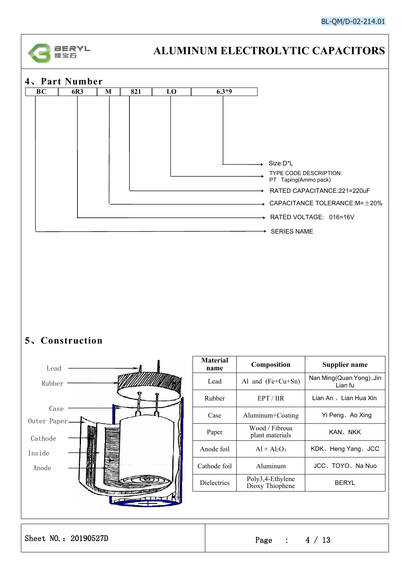



### **5**、**Construction**



| <b>Material</b>                                                     |  |
|---------------------------------------------------------------------|--|
| Composition<br>Supplier name<br>name                                |  |
| Nan Ming (Quan Yong), Jin<br>Al and $(Fe+Cu+Sn)$<br>Lead<br>Lian fu |  |
| Lian An 、Lian Hua Xin<br>Rubber<br>EPT/IIR                          |  |
| Aluminum+Coating<br>Yi Peng、Ao Xing<br>Case                         |  |
| Wood / Fibrous<br>KAN、NKK<br>Paper<br>plant materials               |  |
| Anode foil<br>$Al + Al2O3$<br>KDK, Heng Yang, JCC                   |  |
| JCC、TOYO、Na Nuo<br>Aluminum<br>Cathode foil                         |  |
| Poly3,4-Ethylene<br>Dielectrics<br><b>BERYL</b><br>Dioxy Thiophene  |  |

Sheet NO.: 20190527D Page : 4 / 13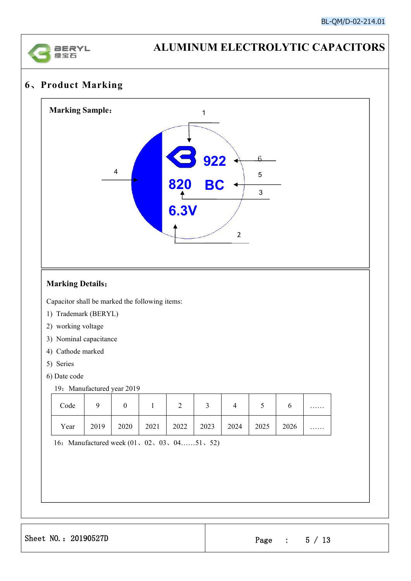

### **6**、**Product Marking**



Capacitor shall be marked the following items:

- 1) Trademark (BERYL)
- 2) working voltage
- 3) Nominal capacitance
- 4) Cathode marked
- 5) Series
- 6) Date code
	- 19: Manufactured year 2019

| Code |      |      |      | ⌒<br>∸ |      | ↵    | ັ    |      | . |
|------|------|------|------|--------|------|------|------|------|---|
| Year | 2019 | 2020 | 2021 | 2022   | 2023 | 2024 | 2025 | 2026 | . |

16:Manufactured week (01、02、03、04……51、52)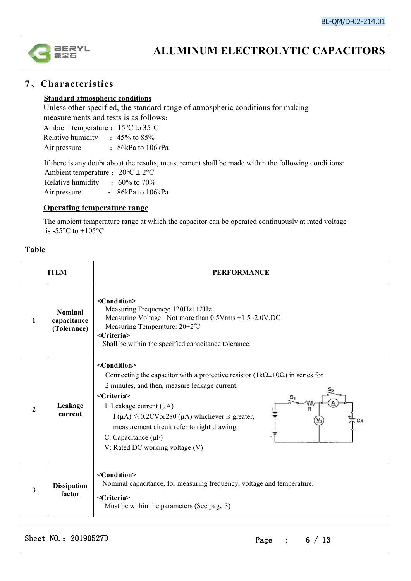

#### **7**、**Characteristics**

#### **Standard atmospheric conditions**

Unless other specified, the standard range of atmospheric conditions for making measurements and tests is as follows:

Ambient temperature  $: 15^{\circ}C$  to 35 $^{\circ}C$ 

Relative humidity : 45% to 85%

Air pressure : 86kPa to 106kPa

If there is any doubt about the results, measurement shall be made within the following conditions: Ambient temperature :  $20^{\circ}C \pm 2^{\circ}C$ Relative humidity : 60% to 70% Air pressure : 86kPa to 106kPa

#### **Operating temperature range**

The ambient temperature range at which the capacitor can be operated continuously at rated voltage is  $-55^{\circ}$ C to  $+105^{\circ}$ C.

#### **Table**

|              | <b>ITEM</b>                                  | <b>PERFORMANCE</b>                                                                                                                                                                                                                                                                                                                                                                                                                                                                             |
|--------------|----------------------------------------------|------------------------------------------------------------------------------------------------------------------------------------------------------------------------------------------------------------------------------------------------------------------------------------------------------------------------------------------------------------------------------------------------------------------------------------------------------------------------------------------------|
| 1            | <b>Nominal</b><br>capacitance<br>(Tolerance) | <condition><br/>Measuring Frequency: 120Hz±12Hz<br/>Measuring Voltage: Not more than 0.5Vrms +1.5~2.0V.DC<br/>Measuring Temperature: 20±2°C<br/><criteria><br/>Shall be within the specified capacitance tolerance.</criteria></condition>                                                                                                                                                                                                                                                     |
| $\mathbf{2}$ | Leakage<br>current                           | <condition><br/>Connecting the capacitor with a protective resistor (<math>1k\Omega \pm 10\Omega</math>) in series for<br/>2 minutes, and then, measure leakage current.<br/><criteria><br/>I: Leakage current <math>(\mu A)</math><br/>I (<math>\mu</math>A) <math>\leq 0.2</math>CVor280 (<math>\mu</math>A) whichever is greater,<br/>Сx<br/>measurement circuit refer to right drawing.<br/>C: Capacitance <math>(\mu F)</math><br/>V: Rated DC working voltage (V)</criteria></condition> |
| 3            | <b>Dissipation</b><br>factor                 | <condition><br/>Nominal capacitance, for measuring frequency, voltage and temperature.<br/><criteria><br/>Must be within the parameters (See page 3)</criteria></condition>                                                                                                                                                                                                                                                                                                                    |

Sheet NO.: 20190527D Page : 6 / 13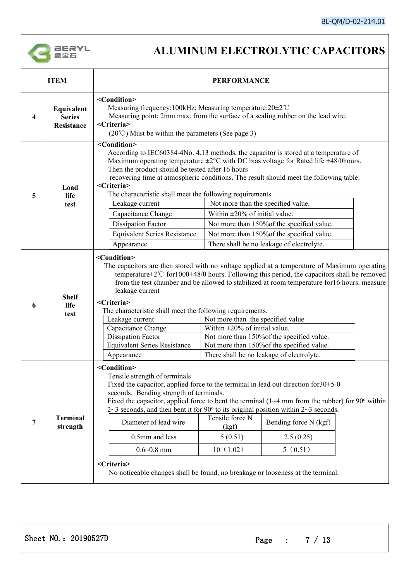

| <b>ITEM</b>                               |                                                                                                                                                                                                                                                                                                                                                                                                                                                                                                                                                                                                                                                                                                                                                            |                         |                                                  |                                                                                                                                                                                                                                                                                                                                                                                                                                                                                                                                                                                                                                                                                |  |  |  |  |
|-------------------------------------------|------------------------------------------------------------------------------------------------------------------------------------------------------------------------------------------------------------------------------------------------------------------------------------------------------------------------------------------------------------------------------------------------------------------------------------------------------------------------------------------------------------------------------------------------------------------------------------------------------------------------------------------------------------------------------------------------------------------------------------------------------------|-------------------------|--------------------------------------------------|--------------------------------------------------------------------------------------------------------------------------------------------------------------------------------------------------------------------------------------------------------------------------------------------------------------------------------------------------------------------------------------------------------------------------------------------------------------------------------------------------------------------------------------------------------------------------------------------------------------------------------------------------------------------------------|--|--|--|--|
| Equivalent<br><b>Series</b><br>Resistance | <condition><br/>Measuring frequency: 100kHz; Measuring temperature: 20±2°C<br/>Measuring point: 2mm max. from the surface of a sealing rubber on the lead wire.<br/><criteria><br/><math>(20^{\circ}\text{C})</math> Must be within the parameters (See page 3)</criteria></condition>                                                                                                                                                                                                                                                                                                                                                                                                                                                                     |                         |                                                  |                                                                                                                                                                                                                                                                                                                                                                                                                                                                                                                                                                                                                                                                                |  |  |  |  |
| Load<br>life<br>test                      | $\overline{\text{-Condition}}$<br><criteria><br/>Leakage current<br/>Capacitance Change<br/><b>Dissipation Factor</b><br/><b>Equivalent Series Resistance</b><br/>Appearance</criteria>                                                                                                                                                                                                                                                                                                                                                                                                                                                                                                                                                                    |                         |                                                  |                                                                                                                                                                                                                                                                                                                                                                                                                                                                                                                                                                                                                                                                                |  |  |  |  |
| <b>Shelf</b><br>life<br>test              | The capacitors are then stored with no voltage applied at a temperature of Maximum operating<br>temperature $\pm 2^{\circ}$ C for 1000+48/0 hours. Following this period, the capacitors shall be removed<br>from the test chamber and be allowed to stabilized at room temperature for16 hours. measure<br>leakage current<br><criteria><br/>The characteristic shall meet the following requirements.<br/>Not more than the specified value<br/>Leakage current<br/>Within <math>\pm 20\%</math> of initial value.<br/>Capacitance Change<br/><b>Dissipation Factor</b><br/>Not more than 150% of the specified value.<br/>Not more than 150% of the specified value.<br/><b>Equivalent Series Resistance</b></criteria>                                 |                         |                                                  |                                                                                                                                                                                                                                                                                                                                                                                                                                                                                                                                                                                                                                                                                |  |  |  |  |
| <b>Terminal</b><br>strength               | There shall be no leakage of electrolyte.<br>Appearance<br><condition><br/>Tensile strength of terminals<br/>Fixed the capacitor, applied force to the terminal in lead out direction for <math>30+5-0</math><br/>seconds. Bending strength of terminals.<br/>Fixed the capacitor, applied force to bent the terminal <math>(1-4</math> mm from the rubber) for 90° within<br/><math>2\text{--}3</math> seconds, and then bent it for 90<math>\degree</math> to its original position within <math>2\text{--}3</math> seconds.<br/>Tensile force N<br/>Diameter of lead wire<br/>Bending force N (kgf)<br/>(kgf)<br/>0.5mm and less<br/>5(0.51)<br/>2.5(0.25)<br/>10(1.02)<br/><math>0.6 - 0.8</math> mm<br/>5(0.51)<br/><criteria></criteria></condition> |                         |                                                  |                                                                                                                                                                                                                                                                                                                                                                                                                                                                                                                                                                                                                                                                                |  |  |  |  |
|                                           |                                                                                                                                                                                                                                                                                                                                                                                                                                                                                                                                                                                                                                                                                                                                                            | <condition></condition> | Then the product should be tested after 16 hours | <b>PERFORMANCE</b><br>According to IEC60384-4No. 4.13 methods, the capacitor is stored at a temperature of<br>Maximum operating temperature $\pm 2^{\circ}$ C with DC bias voltage for Rated life +48/0 hours.<br>recovering time at atmospheric conditions. The result should meet the following table:<br>The characteristic shall meet the following requirements.<br>Not more than the specified value.<br>Within $\pm 20\%$ of initial value.<br>Not more than 150% of the specified value.<br>Not more than 150% of the specified value.<br>There shall be no leakage of electrolyte.<br>No noticeable changes shall be found, no breakage or looseness at the terminal. |  |  |  |  |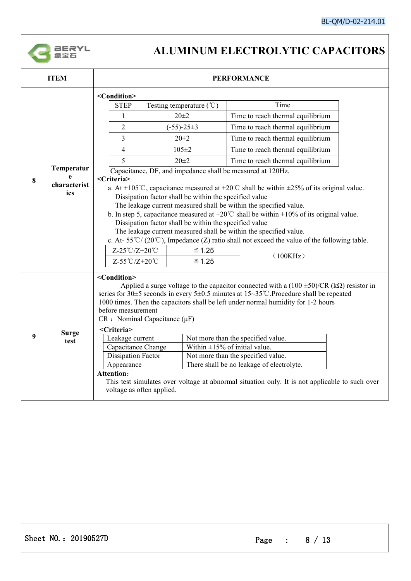

|                                        | <b>ITEM</b>                                                                                                                                                                                                                                                                                                                                                                                                                                                                                                                                                                                                                                                                                                                                                                                  | <b>PERFORMANCE</b>                                                                                                                                                              |                                                                    |  |                                                                                                                                                                                                                                                                                                                                                                                                                                                                                                                                                                    |  |  |  |  |
|----------------------------------------|----------------------------------------------------------------------------------------------------------------------------------------------------------------------------------------------------------------------------------------------------------------------------------------------------------------------------------------------------------------------------------------------------------------------------------------------------------------------------------------------------------------------------------------------------------------------------------------------------------------------------------------------------------------------------------------------------------------------------------------------------------------------------------------------|---------------------------------------------------------------------------------------------------------------------------------------------------------------------------------|--------------------------------------------------------------------|--|--------------------------------------------------------------------------------------------------------------------------------------------------------------------------------------------------------------------------------------------------------------------------------------------------------------------------------------------------------------------------------------------------------------------------------------------------------------------------------------------------------------------------------------------------------------------|--|--|--|--|
|                                        |                                                                                                                                                                                                                                                                                                                                                                                                                                                                                                                                                                                                                                                                                                                                                                                              | <condition></condition>                                                                                                                                                         |                                                                    |  |                                                                                                                                                                                                                                                                                                                                                                                                                                                                                                                                                                    |  |  |  |  |
|                                        |                                                                                                                                                                                                                                                                                                                                                                                                                                                                                                                                                                                                                                                                                                                                                                                              | <b>STEP</b>                                                                                                                                                                     | Testing temperature $({\degree}C)$                                 |  | Time                                                                                                                                                                                                                                                                                                                                                                                                                                                                                                                                                               |  |  |  |  |
|                                        |                                                                                                                                                                                                                                                                                                                                                                                                                                                                                                                                                                                                                                                                                                                                                                                              | 1                                                                                                                                                                               | $20 \pm 2$                                                         |  | Time to reach thermal equilibrium                                                                                                                                                                                                                                                                                                                                                                                                                                                                                                                                  |  |  |  |  |
|                                        |                                                                                                                                                                                                                                                                                                                                                                                                                                                                                                                                                                                                                                                                                                                                                                                              | $\overline{2}$                                                                                                                                                                  | $(-55)-25\pm3$                                                     |  | Time to reach thermal equilibrium                                                                                                                                                                                                                                                                                                                                                                                                                                                                                                                                  |  |  |  |  |
|                                        |                                                                                                                                                                                                                                                                                                                                                                                                                                                                                                                                                                                                                                                                                                                                                                                              | 3                                                                                                                                                                               | $20 \pm 2$                                                         |  | Time to reach thermal equilibrium                                                                                                                                                                                                                                                                                                                                                                                                                                                                                                                                  |  |  |  |  |
|                                        |                                                                                                                                                                                                                                                                                                                                                                                                                                                                                                                                                                                                                                                                                                                                                                                              | $\overline{4}$                                                                                                                                                                  | $105 \pm 2$                                                        |  | Time to reach thermal equilibrium                                                                                                                                                                                                                                                                                                                                                                                                                                                                                                                                  |  |  |  |  |
|                                        |                                                                                                                                                                                                                                                                                                                                                                                                                                                                                                                                                                                                                                                                                                                                                                                              | 5                                                                                                                                                                               | $20 \pm 2$                                                         |  | Time to reach thermal equilibrium                                                                                                                                                                                                                                                                                                                                                                                                                                                                                                                                  |  |  |  |  |
| Temperatur<br>8<br>characterist<br>ics | Capacitance, DF, and impedance shall be measured at 120Hz.<br><criteria><br/>a. At +105°C, capacitance measured at +20°C shall be within <math>\pm</math>25% of its original value.<br/>Dissipation factor shall be within the specified value<br/>The leakage current measured shall be within the specified value.<br/>b. In step 5, capacitance measured at +20°C shall be within <math>\pm 10\%</math> of its original value.<br/>Dissipation factor shall be within the specified value<br/>The leakage current measured shall be within the specified value.<br/>c. At-55°C/(20°C), Impedance (Z) ratio shall not exceed the value of the following table.<br/>Z-25℃/Z+20℃<br/><math>\leq 1.25</math><br/>(100KHz)<br/>Z-55℃/Z+20℃<br/><math display="inline">≤ 1.25</math></criteria> |                                                                                                                                                                                 |                                                                    |  |                                                                                                                                                                                                                                                                                                                                                                                                                                                                                                                                                                    |  |  |  |  |
| 9                                      | <b>Surge</b><br>test                                                                                                                                                                                                                                                                                                                                                                                                                                                                                                                                                                                                                                                                                                                                                                         | <condition><br/>before measurement<br/><criteria><br/>Leakage current<br/>Capacitance Change<br/><b>Dissipation Factor</b><br/>Appearance<br/>Attention:</criteria></condition> | $CR:$ Nominal Capacitance ( $\mu F$ )<br>voltage as often applied. |  | Applied a surge voltage to the capacitor connected with a $(100 \pm 50)/CR$ (k $\Omega$ ) resistor in<br>series for 30 $\pm$ 5 seconds in every 5 $\pm$ 0.5 minutes at 15~35°C. Procedure shall be repeated<br>1000 times. Then the capacitors shall be left under normal humidity for 1-2 hours<br>Not more than the specified value.<br>Within $\pm 15\%$ of initial value.<br>Not more than the specified value.<br>There shall be no leakage of electrolyte.<br>This test simulates over voltage at abnormal situation only. It is not applicable to such over |  |  |  |  |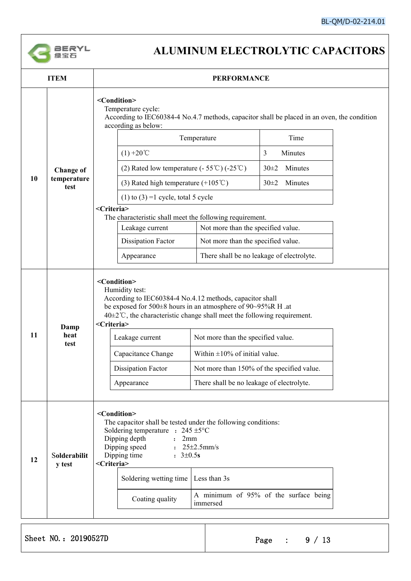

|    | <b>ITEM</b>            | <b>PERFORMANCE</b>                                                                                                                                                                                                                                                                                                                                    |                                                                                                                                                                                                                                                                                                                                                                                        |                                       |  |  |  |  |  |
|----|------------------------|-------------------------------------------------------------------------------------------------------------------------------------------------------------------------------------------------------------------------------------------------------------------------------------------------------------------------------------------------------|----------------------------------------------------------------------------------------------------------------------------------------------------------------------------------------------------------------------------------------------------------------------------------------------------------------------------------------------------------------------------------------|---------------------------------------|--|--|--|--|--|
|    |                        | <condition><br/>Temperature cycle:<br/>According to IEC60384-4 No.4.7 methods, capacitor shall be placed in an oven, the condition<br/>according as below:</condition>                                                                                                                                                                                |                                                                                                                                                                                                                                                                                                                                                                                        |                                       |  |  |  |  |  |
|    |                        |                                                                                                                                                                                                                                                                                                                                                       | Temperature                                                                                                                                                                                                                                                                                                                                                                            | Time                                  |  |  |  |  |  |
|    | <b>Change of</b>       | $(1) + 20^{\circ}C$                                                                                                                                                                                                                                                                                                                                   |                                                                                                                                                                                                                                                                                                                                                                                        | 3<br>Minutes                          |  |  |  |  |  |
|    |                        | (2) Rated low temperature $(-55^{\circ}C)$ $(-25^{\circ}C)$                                                                                                                                                                                                                                                                                           |                                                                                                                                                                                                                                                                                                                                                                                        | Minutes<br>$30+2$                     |  |  |  |  |  |
| 10 | temperature<br>test    | (3) Rated high temperature $(+105^{\circ}\text{C})$                                                                                                                                                                                                                                                                                                   |                                                                                                                                                                                                                                                                                                                                                                                        | $30+2$<br>Minutes                     |  |  |  |  |  |
|    |                        | (1) to (3) =1 cycle, total 5 cycle                                                                                                                                                                                                                                                                                                                    |                                                                                                                                                                                                                                                                                                                                                                                        |                                       |  |  |  |  |  |
|    |                        | <criteria></criteria>                                                                                                                                                                                                                                                                                                                                 |                                                                                                                                                                                                                                                                                                                                                                                        |                                       |  |  |  |  |  |
|    | Leakage current        | The characteristic shall meet the following requirement.<br>Not more than the specified value.                                                                                                                                                                                                                                                        |                                                                                                                                                                                                                                                                                                                                                                                        |                                       |  |  |  |  |  |
|    |                        | <b>Dissipation Factor</b>                                                                                                                                                                                                                                                                                                                             | Not more than the specified value.                                                                                                                                                                                                                                                                                                                                                     |                                       |  |  |  |  |  |
|    |                        | Appearance                                                                                                                                                                                                                                                                                                                                            | There shall be no leakage of electrolyte.                                                                                                                                                                                                                                                                                                                                              |                                       |  |  |  |  |  |
| 11 | Damp<br>heat<br>test   | <condition><br/>Humidity test:<br/><criteria><br/>Leakage current<br/>Capacitance Change<br/><b>Dissipation Factor</b><br/>Appearance</criteria></condition>                                                                                                                                                                                          | According to IEC60384-4 No.4.12 methods, capacitor shall<br>be exposed for 500±8 hours in an atmosphere of 90~95%R H .at<br>$40\pm2\degree$ C, the characteristic change shall meet the following requirement.<br>Not more than the specified value.<br>Within $\pm 10\%$ of initial value.<br>Not more than 150% of the specified value.<br>There shall be no leakage of electrolyte. |                                       |  |  |  |  |  |
| 12 | Solderabilit<br>y test | <condition><br/>The capacitor shall be tested under the following conditions:<br/>Soldering temperature : <math>245 \pm 5^{\circ}</math>C<br/>Dipping depth<br/>2mm<br/><math>\mathbf{r}</math><br/>Dipping speed<br/>Dipping time<br/><math>: 3 \pm 0.5s</math><br/><criteria><br/>Soldering wetting time<br/>Coating quality</criteria></condition> | : $25 \pm 2.5$ mm/s<br>Less than 3s<br>immersed                                                                                                                                                                                                                                                                                                                                        | A minimum of 95% of the surface being |  |  |  |  |  |

Sheet NO.: 20190527D Page : 9 / 13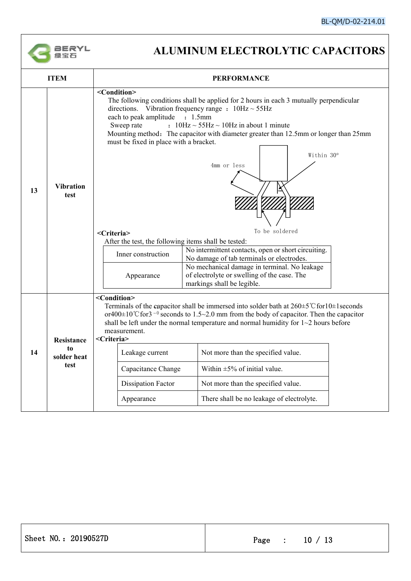

| <b>ITEM</b>                                   | <b>PERFORMANCE</b>                                                                                                                                                                                                                                                                                                                                                                                                                                                                                                                                                                                                                                                                                                                                                                                                                                                            |  |  |
|-----------------------------------------------|-------------------------------------------------------------------------------------------------------------------------------------------------------------------------------------------------------------------------------------------------------------------------------------------------------------------------------------------------------------------------------------------------------------------------------------------------------------------------------------------------------------------------------------------------------------------------------------------------------------------------------------------------------------------------------------------------------------------------------------------------------------------------------------------------------------------------------------------------------------------------------|--|--|
| <b>Vibration</b><br>13<br>test                | <condition><br/>The following conditions shall be applied for 2 hours in each 3 mutually perpendicular<br/>directions. Vibration frequency range : <math>10\text{Hz} \sim 55\text{Hz}</math><br/>each to peak amplitude : 1.5mm<br/><math>: 10Hz \sim 55Hz \sim 10Hz</math> in about 1 minute<br/>Sweep rate<br/>Mounting method: The capacitor with diameter greater than 12.5mm or longer than 25mm<br/>must be fixed in place with a bracket.<br/>Within 30°<br/>4mm or less<br/>To be soldered<br/><criteria><br/>After the test, the following items shall be tested:<br/>No intermittent contacts, open or short circuiting.<br/>Inner construction<br/>No damage of tab terminals or electrodes.<br/>No mechanical damage in terminal. No leakage<br/>of electrolyte or swelling of the case. The<br/>Appearance<br/>markings shall be legible.</criteria></condition> |  |  |
| Resistance<br>to<br>14<br>solder heat<br>test | <condition><br/>Terminals of the capacitor shall be immersed into solder bath at <math>260 \pm 5^{\circ}</math> C for <math>10 \pm 1</math> seconds<br/>or<math>400 \pm 10</math> °C for 3<sup>-0</sup> seconds to 1.5~2.0 mm from the body of capacitor. Then the capacitor<br/>shall be left under the normal temperature and normal humidity for <math>1 \sim 2</math> hours before<br/>measurement.<br/><criteria><br/>Leakage current<br/>Not more than the specified value.<br/>Within <math>\pm 5\%</math> of initial value.<br/>Capacitance Change<br/><b>Dissipation Factor</b><br/>Not more than the specified value.<br/>There shall be no leakage of electrolyte.<br/>Appearance</criteria></condition>                                                                                                                                                           |  |  |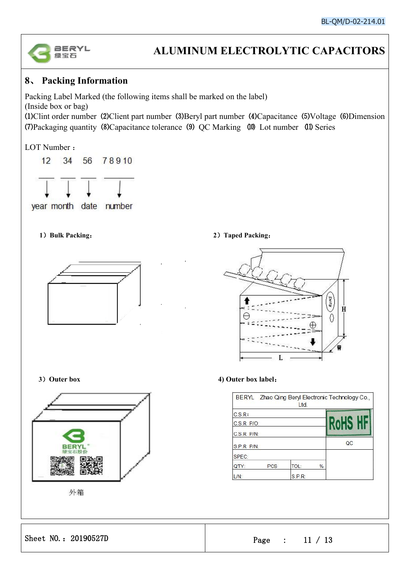

#### **8**、 **Packing Information**

Packing Label Marked (the following items shall be marked on the label) (Inside box or bag) ⑴Clint order number ⑵Client part number ⑶Beryl part number ⑷Capacitance ⑸Voltage ⑹Dimension (7) Packaging quantity (8) Capacitance tolerance (9) QC Marking (10) Lot number (11) Series

LOT Number :



year month date number



#### **1**)**Bulk Packing**: **2**)**Taped Packing**:





外箱

**3**)**Outer box 4) Outer box label**:

|                 |            | Ltd.        |      | BERYL Zhao Qing Beryl Electronic Technology Co., |
|-----------------|------------|-------------|------|--------------------------------------------------|
| C.S.R.          |            |             |      |                                                  |
| $C.S.R$ $P/O$ : |            |             |      |                                                  |
| $C.S.R$ $P/N$ : |            |             |      |                                                  |
| S.P.R P/N:      |            |             |      | QC                                               |
| SPEC:           |            |             |      |                                                  |
| QTY:            | <b>PCS</b> | <b>TOL:</b> | $\%$ |                                                  |
| /N:             |            | S.P.R:      |      |                                                  |

Sheet NO.: 20190527D Page : 11 / 13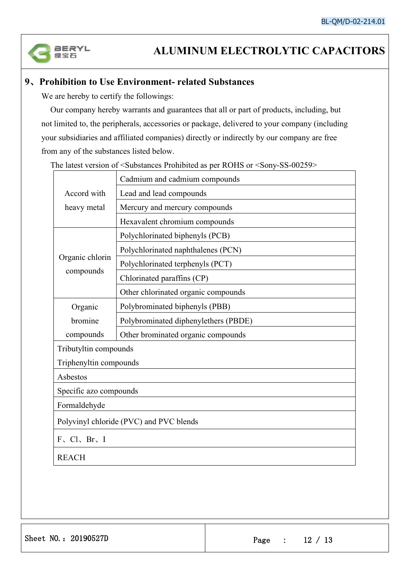

#### **9**、**Prohibition toUse Environment- related Substances**

We are hereby to certify the followings:

Our company hereby warrants and guarantees that all or part of products, including, but not limited to, the peripherals, accessories or package, delivered to yourcompany (including your subsidiaries and affiliated companies) directly or indirectly by our company are free from any of the substances listed below.

The latest version of <Substances Prohibited as per ROHS or <Sony-SS-00259>

|                                         | Cadmium and cadmium compounds        |  |  |  |
|-----------------------------------------|--------------------------------------|--|--|--|
| Accord with                             | Lead and lead compounds              |  |  |  |
| heavy metal                             | Mercury and mercury compounds        |  |  |  |
|                                         | Hexavalent chromium compounds        |  |  |  |
|                                         | Polychlorinated biphenyls (PCB)      |  |  |  |
|                                         | Polychlorinated naphthalenes (PCN)   |  |  |  |
| Organic chlorin                         | Polychlorinated terphenyls (PCT)     |  |  |  |
| compounds                               | Chlorinated paraffins (CP)           |  |  |  |
|                                         | Other chlorinated organic compounds  |  |  |  |
| Organic                                 | Polybrominated biphenyls (PBB)       |  |  |  |
| bromine                                 | Polybrominated diphenylethers (PBDE) |  |  |  |
| compounds                               | Other brominated organic compounds   |  |  |  |
| Tributyltin compounds                   |                                      |  |  |  |
| Triphenyltin compounds                  |                                      |  |  |  |
| Asbestos                                |                                      |  |  |  |
| Specific azo compounds                  |                                      |  |  |  |
| Formaldehyde                            |                                      |  |  |  |
| Polyvinyl chloride (PVC) and PVC blends |                                      |  |  |  |
| $F \sim Cl_2$ Br, I                     |                                      |  |  |  |
| <b>REACH</b>                            |                                      |  |  |  |